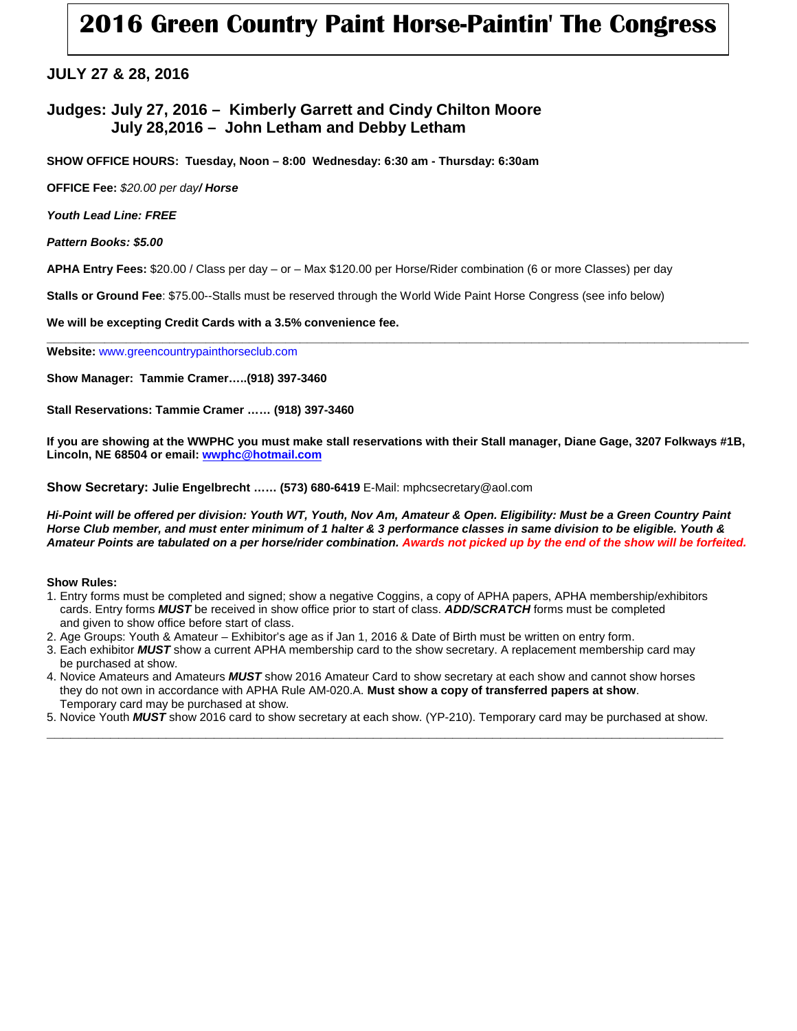# **2016 Green Country Paint Horse-Paintin' The Congress**

## **JULY 27 & 28, 2016**

## **Judges: July 27, 2016 – Kimberly Garrett and Cindy Chilton Moore July 28,2016 – John Letham and Debby Letham**

**SHOW OFFICE HOURS: Tuesday, Noon – 8:00 Wednesday: 6:30 am - Thursday: 6:30am**

**OFFICE Fee:** *\$20.00 per day/ Horse* 

*Youth Lead Line: FREE*

*Pattern Books: \$5.00*

**APHA Entry Fees:** \$20.00 / Class per day – or – Max \$120.00 per Horse/Rider combination (6 or more Classes) per day

**Stalls or Ground Fee**: \$75.00--Stalls must be reserved through the World Wide Paint Horse Congress (see info below)

**We will be excepting Credit Cards with a 3.5% convenience fee.**

**\_\_\_\_\_\_\_\_\_\_\_\_\_\_\_\_\_\_\_\_\_\_\_\_\_\_\_\_\_\_\_\_\_\_\_\_\_\_\_\_\_\_\_\_\_\_\_\_\_\_\_\_\_\_\_\_\_\_\_\_\_\_\_\_\_\_\_\_\_\_\_\_\_\_\_\_\_\_\_\_\_\_\_\_\_\_\_\_\_\_\_\_\_\_\_\_\_ Website:** www.greencountrypainthorseclub.com

**Show Manager: Tammie Cramer…..(918) 397-3460**

**Stall Reservations: Tammie Cramer …… (918) 397-3460** 

**If you are showing at the WWPHC you must make stall reservations with their Stall manager, Diane Gage, 3207 Folkways #1B, Lincoln, NE 68504 or email[: wwphc@hotmail.com](mailto:wwphc@hotmail.com)**

**Show Secretary: Julie Engelbrecht …… (573) 680-6419** E-Mail: mphcsecretary@aol.com

*Hi-Point will be offered per division: Youth WT, Youth, Nov Am, Amateur & Open. Eligibility: Must be a Green Country Paint Horse Club member, and must enter minimum of 1 halter & 3 performance classes in same division to be eligible. Youth & Amateur Points are tabulated on a per horse/rider combination. Awards not picked up by the end of the show will be forfeited.*

#### **Show Rules:**

- 1. Entry forms must be completed and signed; show a negative Coggins, a copy of APHA papers, APHA membership/exhibitors cards. Entry forms *MUST* be received in show office prior to start of class. *ADD/SCRATCH* forms must be completed and given to show office before start of class.
- 2. Age Groups: Youth & Amateur Exhibitor's age as if Jan 1, 2016 & Date of Birth must be written on entry form.
- 3. Each exhibitor *MUST* show a current APHA membership card to the show secretary. A replacement membership card may be purchased at show.
- 4. Novice Amateurs and Amateurs *MUST* show 2016 Amateur Card to show secretary at each show and cannot show horses they do not own in accordance with APHA Rule AM-020.A. **Must show a copy of transferred papers at show**. Temporary card may be purchased at show.
- 5. Novice Youth *MUST* show 2016 card to show secretary at each show. (YP-210). Temporary card may be purchased at show. **\_\_\_\_\_\_\_\_\_\_\_\_\_\_\_\_\_\_\_\_\_\_\_\_\_\_\_\_\_\_\_\_\_\_\_\_\_\_\_\_\_\_\_\_\_\_\_\_\_\_\_\_\_\_\_\_\_\_\_\_\_\_\_\_\_\_\_\_\_\_\_\_\_\_\_\_\_\_\_\_\_\_\_\_\_**